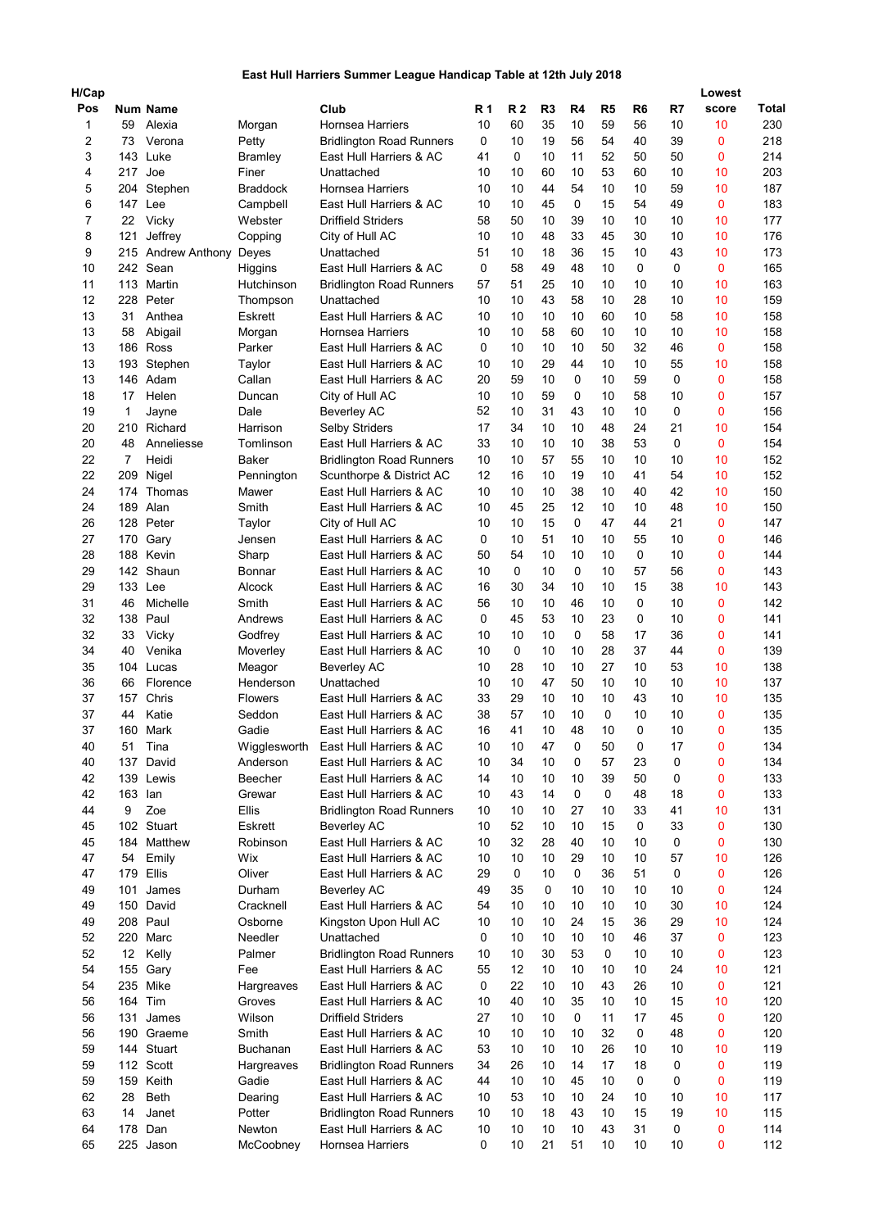## East Hull Harriers Summer League Handicap Table at 12th July 2018

| H/Cap<br>Pos   |                | <b>Num Name</b>         |                             | Club                                               | <b>R</b> 1 | <b>R2</b> | R <sub>3</sub> | R4       | R <sub>5</sub> | R <sub>6</sub> | R7       | Lowest<br>score | Total      |
|----------------|----------------|-------------------------|-----------------------------|----------------------------------------------------|------------|-----------|----------------|----------|----------------|----------------|----------|-----------------|------------|
| 1              | 59             | Alexia                  | Morgan                      | <b>Hornsea Harriers</b>                            | 10         | 60        | 35             | 10       | 59             | 56             | 10       | 10              | 230        |
| $\overline{2}$ | 73             | Verona                  | Petty                       | <b>Bridlington Road Runners</b>                    | 0          | 10        | 19             | 56       | 54             | 40             | 39       | 0               | 218        |
| 3              | 143            | Luke                    | <b>Bramley</b>              | East Hull Harriers & AC                            | 41         | 0         | 10             | 11       | 52             | 50             | 50       | 0               | 214        |
| 4              | 217 Joe        |                         | Finer                       | Unattached                                         | 10         | 10        | 60             | 10       | 53             | 60             | 10       | 10              | 203        |
| 5              |                | 204 Stephen             | <b>Braddock</b>             | <b>Hornsea Harriers</b>                            | 10         | 10        | 44             | 54       | 10             | 10             | 59       | 10              | 187        |
| 6              | 147 Lee        |                         | Campbell                    | East Hull Harriers & AC                            | 10         | 10        | 45             | 0        | 15             | 54             | 49       | 0               | 183        |
| 7              | 22             | Vicky                   | Webster                     | <b>Driffield Striders</b>                          | 58         | 50        | 10             | 39       | 10             | 10             | 10       | 10              | 177        |
| 8              | 121            | Jeffrey                 | Copping                     | City of Hull AC                                    | 10         | 10        | 48             | 33       | 45             | 30             | 10       | 10              | 176        |
| 9              |                | 215 Andrew Anthony      | Deyes                       | Unattached                                         | 51         | 10        | 18             | 36       | 15             | 10             | 43       | 10              | 173        |
| 10             |                | 242 Sean                | Higgins                     | East Hull Harriers & AC                            | 0          | 58        | 49             | 48       | 10             | 0              | 0        | 0               | 165        |
| 11             |                | 113 Martin              | Hutchinson                  | <b>Bridlington Road Runners</b>                    | 57         | 51        | 25             | 10       | 10             | 10             | 10       | 10              | 163        |
| 12             |                | 228 Peter               | Thompson                    | Unattached                                         | 10         | 10        | 43             | 58       | 10             | 28             | 10       | 10              | 159        |
| 13             | 31             | Anthea                  | <b>Eskrett</b>              | East Hull Harriers & AC                            | 10         | 10        | 10             | 10       | 60             | 10             | 58       | 10              | 158        |
| 13             | 58             | Abigail                 | Morgan                      | Hornsea Harriers                                   | 10         | 10        | 58             | 60       | 10             | 10             | 10       | 10              | 158        |
| 13<br>13       |                | 186 Ross                | Parker                      | East Hull Harriers & AC                            | 0<br>10    | 10<br>10  | 10<br>29       | 10<br>44 | 50<br>10       | 32<br>10       | 46<br>55 | 0<br>10         | 158<br>158 |
| 13             |                | 193 Stephen<br>146 Adam | Taylor<br>Callan            | East Hull Harriers & AC<br>East Hull Harriers & AC | 20         | 59        | 10             | 0        | 10             | 59             | 0        | 0               | 158        |
| 18             | 17             | Helen                   | Duncan                      | City of Hull AC                                    | 10         | 10        | 59             | 0        | 10             | 58             | 10       | 0               | 157        |
| 19             | 1              | Jayne                   | Dale                        | <b>Beverley AC</b>                                 | 52         | 10        | 31             | 43       | 10             | 10             | 0        | 0               | 156        |
| 20             | 210            | Richard                 | Harrison                    | <b>Selby Striders</b>                              | 17         | 34        | 10             | 10       | 48             | 24             | 21       | 10              | 154        |
| 20             | 48             | Anneliesse              | Tomlinson                   | East Hull Harriers & AC                            | 33         | 10        | 10             | 10       | 38             | 53             | 0        | 0               | 154        |
| 22             | $\overline{7}$ | Heidi                   | <b>Baker</b>                | <b>Bridlington Road Runners</b>                    | 10         | 10        | 57             | 55       | 10             | 10             | 10       | 10              | 152        |
| 22             | 209            | Nigel                   | Pennington                  | Scunthorpe & District AC                           | 12         | 16        | 10             | 19       | 10             | 41             | 54       | 10              | 152        |
| 24             | 174            | Thomas                  | Mawer                       | East Hull Harriers & AC                            | 10         | 10        | 10             | 38       | 10             | 40             | 42       | 10              | 150        |
| 24             | 189            | Alan                    | Smith                       | East Hull Harriers & AC                            | 10         | 45        | 25             | 12       | 10             | 10             | 48       | 10              | 150        |
| 26             | 128            | Peter                   | Taylor                      | City of Hull AC                                    | 10         | 10        | 15             | 0        | 47             | 44             | 21       | 0               | 147        |
| 27             | 170            | Gary                    | Jensen                      | East Hull Harriers & AC                            | 0          | 10        | 51             | 10       | 10             | 55             | 10       | 0               | 146        |
| 28             |                | 188 Kevin               | Sharp                       | East Hull Harriers & AC                            | 50         | 54        | 10             | 10       | 10             | 0              | 10       | 0               | 144        |
| 29             |                | 142 Shaun               | Bonnar                      | East Hull Harriers & AC                            | 10         | 0         | 10             | 0        | 10             | 57             | 56       | 0               | 143        |
| 29             | 133 Lee        |                         | Alcock                      | East Hull Harriers & AC                            | 16         | 30        | 34             | 10       | 10             | 15             | 38       | 10              | 143        |
| 31             | 46             | Michelle                | Smith                       | East Hull Harriers & AC                            | 56         | 10        | 10             | 46       | 10             | 0              | 10       | 0               | 142        |
| 32             |                | 138 Paul                | Andrews                     | East Hull Harriers & AC                            | 0          | 45        | 53             | 10       | 23             | 0              | 10       | 0               | 141        |
| 32             | 33             | Vicky                   | Godfrey                     | East Hull Harriers & AC                            | 10         | 10        | 10             | 0        | 58             | 17             | 36       | 0               | 141        |
| 34             | 40             | Venika                  | Moverley                    | East Hull Harriers & AC                            | 10         | 0         | 10             | 10       | 28             | 37             | 44       | 0               | 139        |
| 35             |                | 104 Lucas               | Meagor                      | <b>Beverley AC</b>                                 | 10         | 28        | 10             | 10       | 27             | 10             | 53       | 10              | 138        |
| 36<br>37       | 66<br>157      | Florence<br>Chris       | Henderson<br><b>Flowers</b> | Unattached<br>East Hull Harriers & AC              | 10<br>33   | 10<br>29  | 47<br>10       | 50<br>10 | 10<br>10       | 10<br>43       | 10<br>10 | 10<br>10        | 137<br>135 |
| 37             | 44             | Katie                   | Seddon                      | East Hull Harriers & AC                            | 38         | 57        | 10             | 10       | 0              | 10             | 10       | $\mathbf 0$     | 135        |
| 37             |                | 160 Mark                | Gadie                       | East Hull Harriers & AC                            | 16         | 41        | 10             | 48       | 10             | 0              | 10       | 0               | 135        |
| 40             | 51             | Tina                    | Wigglesworth                | East Hull Harriers & AC                            | 10         | 10        | 47             | 0        | 50             | 0              | 17       | 0               | 134        |
| 40             |                | 137 David               | Anderson                    | East Hull Harriers & AC                            | 10         | 34        | 10             | 0        | 57             | 23             | 0        | 0               | 134        |
| 42             |                | 139 Lewis               | Beecher                     | East Hull Harriers & AC                            | 14         | 10        | 10             | 10       | 39             | 50             | 0        | 0               | 133        |
| 42             | 163            | lan                     | Grewar                      | East Hull Harriers & AC                            | 10         | 43        | 14             | 0        | 0              | 48             | 18       | 0               | 133        |
| 44             | 9              | Zoe                     | Ellis                       | <b>Bridlington Road Runners</b>                    | 10         | 10        | 10             | 27       | 10             | 33             | 41       | 10              | 131        |
| 45             |                | 102 Stuart              | Eskrett                     | <b>Beverley AC</b>                                 | 10         | 52        | 10             | 10       | 15             | 0              | 33       | 0               | 130        |
| 45             | 184            | Matthew                 | Robinson                    | East Hull Harriers & AC                            | 10         | 32        | 28             | 40       | 10             | 10             | 0        | 0               | 130        |
| 47             | 54             | Emily                   | Wix                         | East Hull Harriers & AC                            | 10         | 10        | 10             | 29       | 10             | 10             | 57       | 10              | 126        |
| 47             | 179            | Ellis                   | Oliver                      | East Hull Harriers & AC                            | 29         | 0         | 10             | 0        | 36             | 51             | 0        | 0               | 126        |
| 49             | 101            | James                   | Durham                      | <b>Beverley AC</b>                                 | 49         | 35        | 0              | 10       | 10             | 10             | 10       | 0               | 124        |
| 49             |                | 150 David               | Cracknell                   | East Hull Harriers & AC                            | 54         | 10        | 10             | 10       | 10             | 10             | 30       | 10              | 124        |
| 49             |                | 208 Paul                | Osborne                     | Kingston Upon Hull AC                              | 10         | 10        | 10             | 24       | 15             | 36             | 29       | 10              | 124        |
| 52             |                | 220 Marc                | Needler                     | Unattached                                         | 0          | 10        | 10             | 10       | 10             | 46             | 37       | 0               | 123        |
| 52             | 12             | Kelly                   | Palmer                      | <b>Bridlington Road Runners</b>                    | 10         | 10        | 30             | 53       | 0              | 10             | 10       | 0               | 123        |
| 54             |                | 155 Gary                | Fee                         | East Hull Harriers & AC                            | 55         | 12<br>22  | 10             | 10       | 10<br>43       | 10             | 24       | 10              | 121        |
| 54<br>56       | 164 Tim        | 235 Mike                | Hargreaves<br>Groves        | East Hull Harriers & AC<br>East Hull Harriers & AC | 0<br>10    | 40        | 10<br>10       | 10<br>35 | 10             | 26<br>10       | 10<br>15 | 0<br>10         | 121<br>120 |
| 56             | 131            | James                   | Wilson                      | <b>Driffield Striders</b>                          | 27         | 10        | 10             | 0        | 11             | 17             | 45       | 0               | 120        |
| 56             |                | 190 Graeme              | Smith                       | East Hull Harriers & AC                            | 10         | 10        | 10             | 10       | 32             | 0              | 48       | 0               | 120        |
| 59             |                | 144 Stuart              | Buchanan                    | East Hull Harriers & AC                            | 53         | 10        | 10             | 10       | 26             | 10             | 10       | 10              | 119        |
| 59             |                | 112 Scott               | Hargreaves                  | <b>Bridlington Road Runners</b>                    | 34         | 26        | 10             | 14       | 17             | 18             | 0        | 0               | 119        |
| 59             |                | 159 Keith               | Gadie                       | East Hull Harriers & AC                            | 44         | 10        | 10             | 45       | 10             | 0              | 0        | 0               | 119        |
| 62             | 28             | Beth                    | Dearing                     | East Hull Harriers & AC                            | 10         | 53        | 10             | 10       | 24             | 10             | 10       | 10              | 117        |
| 63             | 14             | Janet                   | Potter                      | <b>Bridlington Road Runners</b>                    | 10         | 10        | 18             | 43       | 10             | 15             | 19       | 10              | 115        |
| 64             | 178            | Dan                     | Newton                      | East Hull Harriers & AC                            | 10         | 10        | 10             | 10       | 43             | 31             | 0        | 0               | 114        |
| 65             |                | 225 Jason               | McCoobney                   | Hornsea Harriers                                   | 0          | 10        | 21             | 51       | 10             | 10             | 10       | 0               | 112        |
|                |                |                         |                             |                                                    |            |           |                |          |                |                |          |                 |            |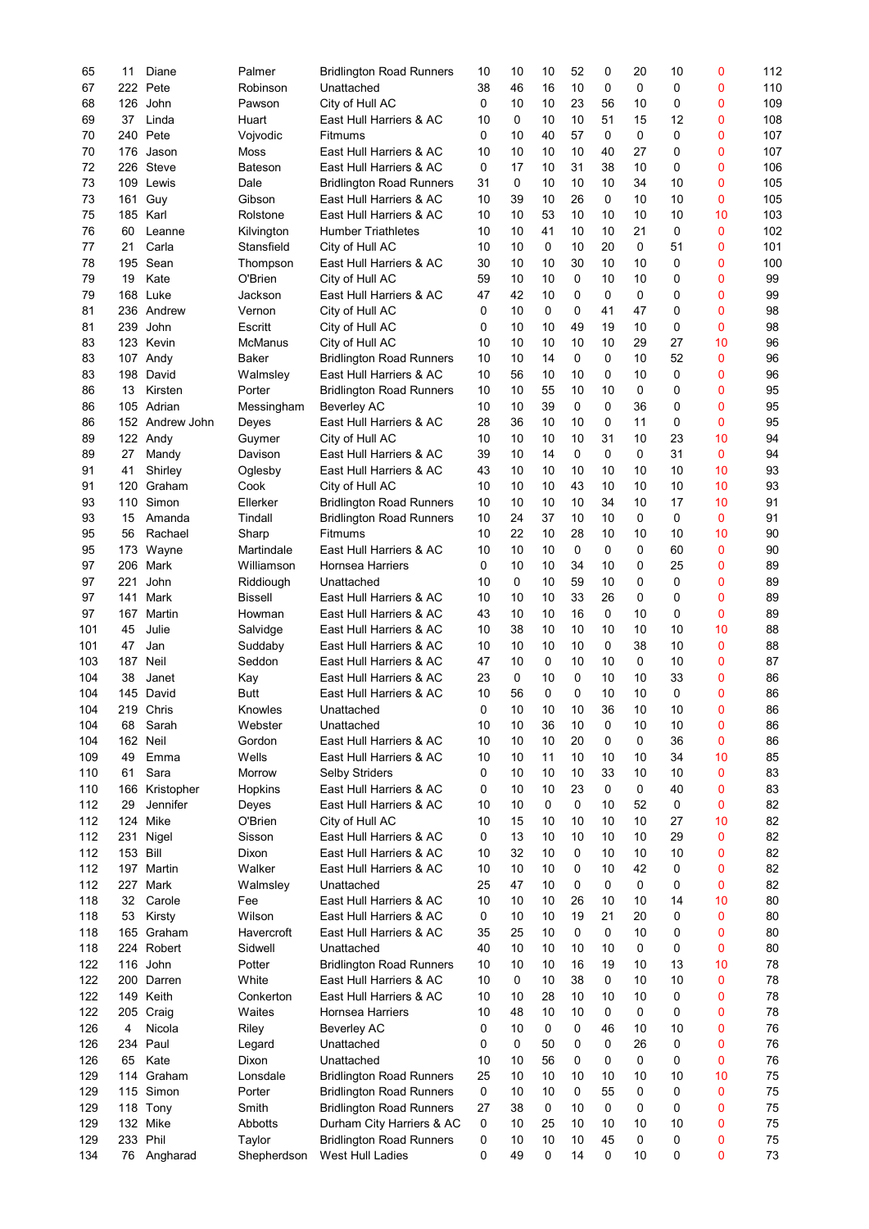| 65  | 11  | Diane           | Palmer         | <b>Bridlington Road Runners</b> | 10 | 10 | 10          | 52          | 0  | 20          | 10           | 0  | 112 |
|-----|-----|-----------------|----------------|---------------------------------|----|----|-------------|-------------|----|-------------|--------------|----|-----|
| 67  | 222 | Pete            | Robinson       | Unattached                      | 38 | 46 | 16          | 10          | 0  | $\mathbf 0$ | 0            | 0  | 110 |
| 68  | 126 | John            | Pawson         | City of Hull AC                 | 0  | 10 | 10          | 23          | 56 | 10          | 0            | 0  | 109 |
| 69  | 37  | Linda           | Huart          | East Hull Harriers & AC         | 10 | 0  | 10          | 10          | 51 | 15          | 12           | 0  | 108 |
| 70  | 240 | Pete            | Vojvodic       | Fitmums                         | 0  | 10 | 40          | 57          | 0  | 0           | 0            | 0  | 107 |
|     |     |                 |                |                                 |    |    |             |             |    |             |              |    |     |
| 70  | 176 | Jason           | Moss           | East Hull Harriers & AC         | 10 | 10 | 10          | 10          | 40 | 27          | 0            | 0  | 107 |
| 72  | 226 | <b>Steve</b>    | Bateson        | East Hull Harriers & AC         | 0  | 17 | 10          | 31          | 38 | 10          | $\mathbf{0}$ | 0  | 106 |
| 73  | 109 | Lewis           | Dale           | <b>Bridlington Road Runners</b> | 31 | 0  | 10          | 10          | 10 | 34          | 10           | 0  | 105 |
| 73  | 161 | Guy             | Gibson         | East Hull Harriers & AC         | 10 | 39 | 10          | 26          | 0  | 10          | 10           | 0  | 105 |
|     |     |                 |                | East Hull Harriers & AC         |    |    |             |             |    |             |              |    |     |
| 75  |     | 185 Karl        | Rolstone       |                                 | 10 | 10 | 53          | 10          | 10 | 10          | 10           | 10 | 103 |
| 76  | 60  | Leanne          | Kilvington     | <b>Humber Triathletes</b>       | 10 | 10 | 41          | 10          | 10 | 21          | $\mathbf 0$  | 0  | 102 |
| 77  | 21  | Carla           | Stansfield     | City of Hull AC                 | 10 | 10 | 0           | 10          | 20 | 0           | 51           | 0  | 101 |
| 78  | 195 | Sean            | Thompson       | East Hull Harriers & AC         | 30 | 10 | 10          | 30          | 10 | 10          | 0            | 0  | 100 |
| 79  | 19  | Kate            | O'Brien        | City of Hull AC                 | 59 | 10 | 10          | $\mathbf 0$ | 10 | 10          | 0            | 0  | 99  |
|     |     |                 |                |                                 |    |    |             |             |    |             |              |    |     |
| 79  | 168 | Luke            | Jackson        | East Hull Harriers & AC         | 47 | 42 | 10          | 0           | 0  | 0           | 0            | 0  | 99  |
| 81  |     | 236 Andrew      | Vernon         | City of Hull AC                 | 0  | 10 | $\mathbf 0$ | 0           | 41 | 47          | 0            | 0  | 98  |
| 81  | 239 | John            | Escritt        | City of Hull AC                 | 0  | 10 | 10          | 49          | 19 | 10          | 0            | 0  | 98  |
| 83  | 123 | Kevin           | <b>McManus</b> | City of Hull AC                 | 10 | 10 | 10          | 10          | 10 | 29          | 27           | 10 | 96  |
| 83  |     | 107 Andy        | <b>Baker</b>   | <b>Bridlington Road Runners</b> | 10 | 10 | 14          | $\mathbf 0$ | 0  | 10          | 52           | 0  | 96  |
|     |     |                 |                |                                 |    |    |             |             |    |             |              |    |     |
| 83  |     | 198 David       | Walmsley       | East Hull Harriers & AC         | 10 | 56 | 10          | 10          | 0  | 10          | $\mathbf 0$  | 0  | 96  |
| 86  | 13  | Kirsten         | Porter         | <b>Bridlington Road Runners</b> | 10 | 10 | 55          | 10          | 10 | $\Omega$    | 0            | 0  | 95  |
| 86  |     | 105 Adrian      | Messingham     | <b>Beverley AC</b>              | 10 | 10 | 39          | 0           | 0  | 36          | 0            | 0  | 95  |
| 86  |     | 152 Andrew John | Deyes          | East Hull Harriers & AC         | 28 | 36 | 10          | 10          | 0  | 11          | 0            | 0  | 95  |
|     |     |                 |                |                                 |    |    |             |             |    |             |              |    | 94  |
| 89  |     | 122 Andy        | Guymer         | City of Hull AC                 | 10 | 10 | 10          | 10          | 31 | 10          | 23           | 10 |     |
| 89  | 27  | Mandy           | Davison        | East Hull Harriers & AC         | 39 | 10 | 14          | $\mathbf 0$ | 0  | $\Omega$    | 31           | 0  | 94  |
| 91  | 41  | Shirley         | Oglesby        | East Hull Harriers & AC         | 43 | 10 | 10          | 10          | 10 | 10          | 10           | 10 | 93  |
| 91  | 120 | Graham          | Cook           | City of Hull AC                 | 10 | 10 | 10          | 43          | 10 | 10          | 10           | 10 | 93  |
| 93  | 110 | Simon           | Ellerker       |                                 | 10 | 10 | 10          | 10          | 34 | 10          | 17           | 10 | 91  |
|     |     |                 |                | <b>Bridlington Road Runners</b> |    |    |             |             |    |             |              |    |     |
| 93  | 15  | Amanda          | Tindall        | <b>Bridlington Road Runners</b> | 10 | 24 | 37          | 10          | 10 | $\mathbf 0$ | 0            | 0  | 91  |
| 95  | 56  | Rachael         | Sharp          | Fitmums                         | 10 | 22 | 10          | 28          | 10 | 10          | 10           | 10 | 90  |
| 95  | 173 | Wayne           | Martindale     | East Hull Harriers & AC         | 10 | 10 | 10          | $\mathbf 0$ | 0  | 0           | 60           | 0  | 90  |
| 97  | 206 | Mark            | Williamson     | <b>Hornsea Harriers</b>         | 0  | 10 | 10          | 34          | 10 | $\Omega$    | 25           | 0  | 89  |
|     |     |                 |                |                                 |    |    |             |             |    |             |              |    |     |
| 97  | 221 | John            | Riddiough      | Unattached                      | 10 | 0  | 10          | 59          | 10 | $\mathbf 0$ | $\mathbf 0$  | 0  | 89  |
| 97  | 141 | Mark            | <b>Bissell</b> | East Hull Harriers & AC         | 10 | 10 | 10          | 33          | 26 | 0           | 0            | 0  | 89  |
| 97  | 167 | Martin          | Howman         | East Hull Harriers & AC         | 43 | 10 | 10          | 16          | 0  | 10          | 0            | 0  | 89  |
| 101 | 45  | Julie           | Salvidge       | East Hull Harriers & AC         | 10 | 38 | 10          | 10          | 10 | 10          | 10           | 10 | 88  |
|     |     | Jan             |                | East Hull Harriers & AC         |    | 10 |             |             | 0  |             |              |    | 88  |
| 101 | 47  |                 | Suddaby        |                                 | 10 |    | 10          | 10          |    | 38          | 10           | 0  |     |
| 103 | 187 | Neil            | Seddon         | East Hull Harriers & AC         | 47 | 10 | 0           | 10          | 10 | 0           | 10           | 0  | 87  |
| 104 | 38  | Janet           | Kay            | East Hull Harriers & AC         | 23 | 0  | 10          | 0           | 10 | 10          | 33           | 0  | 86  |
| 104 | 145 | David           | <b>Butt</b>    | East Hull Harriers & AC         | 10 | 56 | $\mathbf 0$ | 0           | 10 | 10          | 0            | 0  | 86  |
| 104 |     | 219 Chris       | Knowles        | Unattached                      | 0  | 10 | 10          | 10          | 36 | 10          | 10           | 0  | 86  |
|     |     |                 |                |                                 |    |    |             |             |    |             |              |    |     |
| 104 | 68  | Sarah           | Webster        | Unattached                      | 10 | 10 | 36          | 10          | 0  | 10          | 10           | 0  | 86  |
| 104 |     | 162 Neil        | Gordon         | East Hull Harriers & AC         | 10 | 10 | 10          | 20          | 0  | 0           | 36           | 0  | 86  |
| 109 | 49  | Emma            | Wells          | East Hull Harriers & AC         | 10 | 10 | 11          | 10          | 10 | 10          | 34           | 10 | 85  |
| 110 | 61  | Sara            | Morrow         | <b>Selby Striders</b>           | 0  | 10 | 10          | 10          | 33 | 10          | 10           | 0  | 83  |
|     |     |                 |                |                                 |    |    |             |             |    |             |              |    |     |
| 110 | 166 | Kristopher      | Hopkins        | East Hull Harriers & AC         | 0  | 10 | 10          | 23          | 0  | 0           | 40           | 0  | 83  |
| 112 | 29  | Jennifer        | Deyes          | East Hull Harriers & AC         | 10 | 10 | 0           | 0           | 10 | 52          | $\mathbf 0$  | 0  | 82  |
| 112 |     | 124 Mike        | O'Brien        | City of Hull AC                 | 10 | 15 | 10          | 10          | 10 | 10          | 27           | 10 | 82  |
| 112 | 231 | Nigel           | Sisson         | East Hull Harriers & AC         | 0  | 13 | 10          | 10          | 10 | 10          | 29           | 0  | 82  |
| 112 | 153 | Bill            | Dixon          | East Hull Harriers & AC         | 10 | 32 | 10          | 0           | 10 | 10          | 10           | 0  | 82  |
|     |     |                 |                |                                 |    |    |             |             |    |             |              |    |     |
| 112 | 197 | Martin          | Walker         | East Hull Harriers & AC         | 10 | 10 | 10          | 0           | 10 | 42          | 0            | 0  | 82  |
| 112 | 227 | Mark            | Walmsley       | Unattached                      | 25 | 47 | 10          | 0           | 0  | 0           | 0            | 0  | 82  |
| 118 | 32  | Carole          | Fee            | East Hull Harriers & AC         | 10 | 10 | 10          | 26          | 10 | 10          | 14           | 10 | 80  |
| 118 | 53  | Kirsty          | Wilson         | East Hull Harriers & AC         | 0  | 10 | 10          | 19          | 21 | 20          | 0            | 0  | 80  |
|     |     |                 |                |                                 |    |    |             |             |    |             |              |    |     |
| 118 |     | 165 Graham      | Havercroft     | East Hull Harriers & AC         | 35 | 25 | 10          | 0           | 0  | 10          | 0            | 0  | 80  |
| 118 | 224 | Robert          | Sidwell        | Unattached                      | 40 | 10 | 10          | 10          | 10 | 0           | 0            | 0  | 80  |
| 122 | 116 | John            | Potter         | <b>Bridlington Road Runners</b> | 10 | 10 | 10          | 16          | 19 | 10          | 13           | 10 | 78  |
| 122 | 200 | Darren          | White          | East Hull Harriers & AC         | 10 | 0  | 10          | 38          | 0  | 10          | 10           | 0  | 78  |
|     |     |                 |                |                                 |    |    |             |             |    |             |              |    |     |
| 122 |     | 149 Keith       | Conkerton      | East Hull Harriers & AC         | 10 | 10 | 28          | 10          | 10 | 10          | 0            | 0  | 78  |
| 122 |     | 205 Craig       | Waites         | Hornsea Harriers                | 10 | 48 | 10          | 10          | 0  | 0           | 0            | 0  | 78  |
| 126 | 4   | Nicola          | Riley          | <b>Beverley AC</b>              | 0  | 10 | 0           | 0           | 46 | 10          | 10           | 0  | 76  |
| 126 | 234 | Paul            | Legard         | Unattached                      | 0  | 0  | 50          | 0           | 0  | 26          | 0            | 0  | 76  |
| 126 | 65  | Kate            | Dixon          | Unattached                      | 10 | 10 | 56          | 0           | 0  | 0           | 0            | 0  | 76  |
|     |     |                 |                |                                 |    |    |             |             |    |             |              |    |     |
| 129 | 114 | Graham          | Lonsdale       | <b>Bridlington Road Runners</b> | 25 | 10 | 10          | 10          | 10 | 10          | 10           | 10 | 75  |
| 129 | 115 | Simon           | Porter         | <b>Bridlington Road Runners</b> | 0  | 10 | 10          | 0           | 55 | 0           | 0            | 0  | 75  |
| 129 | 118 | Tony            | Smith          | <b>Bridlington Road Runners</b> | 27 | 38 | 0           | 10          | 0  | 0           | 0            | 0  | 75  |
| 129 | 132 | Mike            | Abbotts        | Durham City Harriers & AC       | 0  | 10 | 25          | 10          | 10 | 10          | 10           | 0  | 75  |
|     |     |                 |                |                                 |    |    |             |             |    |             |              |    |     |
| 129 | 233 | Phil            | Taylor         | <b>Bridlington Road Runners</b> | 0  | 10 | 10          | 10          | 45 | 0           | 0            | 0  | 75  |
| 134 | 76  | Angharad        | Shepherdson    | West Hull Ladies                | 0  | 49 | 0           | 14          | 0  | 10          | 0            | 0  | 73  |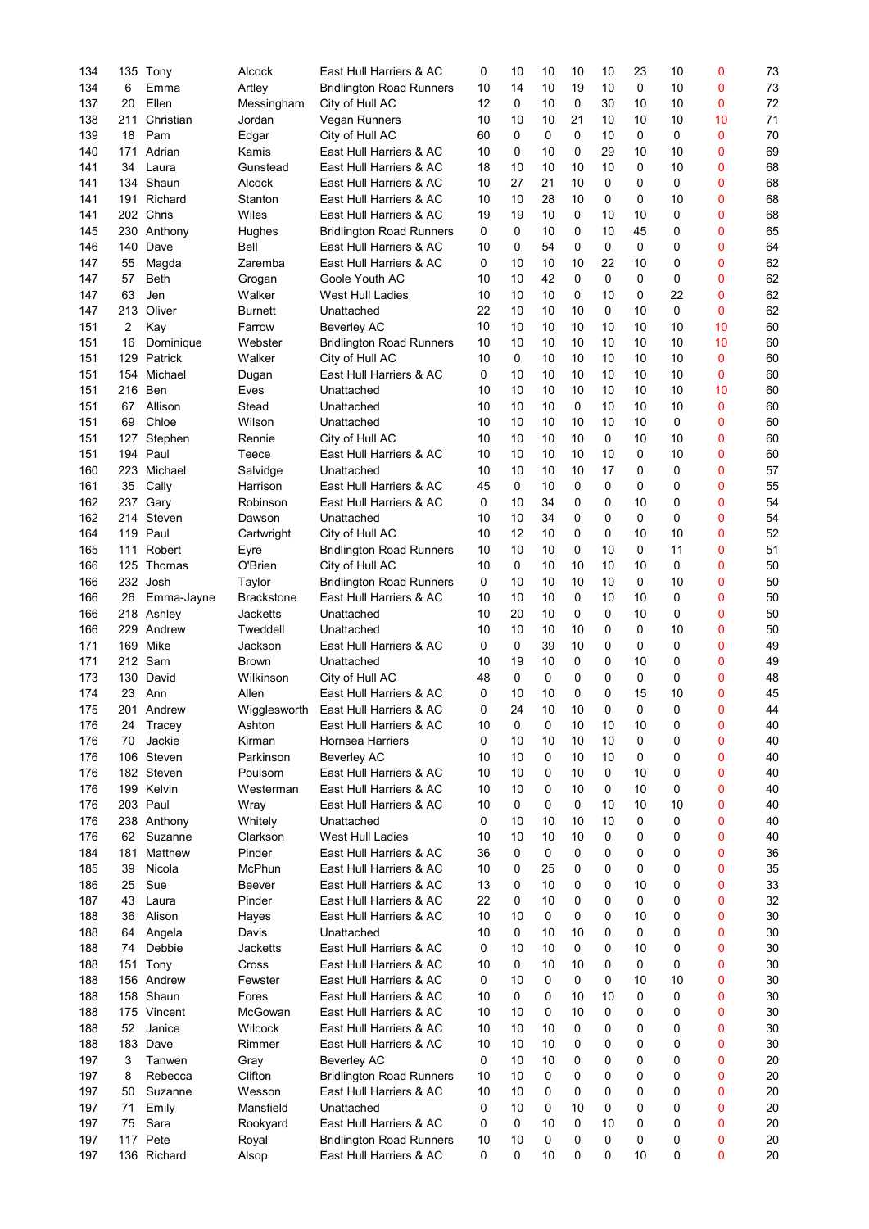| 134 |     | 135 Tony    | Alcock            | East Hull Harriers & AC         | 0        | 10 | 10 | 10       | 10          | 23 | 10 | 0  | 73 |
|-----|-----|-------------|-------------------|---------------------------------|----------|----|----|----------|-------------|----|----|----|----|
| 134 | 6   | Emma        | Artley            | <b>Bridlington Road Runners</b> | 10       | 14 | 10 | 19       | 10          | 0  | 10 | 0  | 73 |
| 137 | 20  | Ellen       | Messingham        | City of Hull AC                 | 12       | 0  | 10 | 0        | 30          | 10 | 10 | 0  | 72 |
| 138 | 211 | Christian   | Jordan            | Vegan Runners                   | 10       | 10 | 10 | 21       | 10          | 10 | 10 | 10 | 71 |
| 139 | 18  | Pam         | Edgar             | City of Hull AC                 | 60       | 0  | 0  | $\Omega$ | 10          | 0  | 0  | 0  | 70 |
| 140 | 171 | Adrian      | Kamis             | East Hull Harriers & AC         | 10       | 0  | 10 | 0        | 29          | 10 | 10 | 0  | 69 |
|     |     |             |                   |                                 |          |    |    |          |             |    |    |    |    |
| 141 | 34  | Laura       | Gunstead          | East Hull Harriers & AC         | 18       | 10 | 10 | 10       | 10          | 0  | 10 | 0  | 68 |
| 141 | 134 | Shaun       | Alcock            | East Hull Harriers & AC         | 10       | 27 | 21 | 10       | 0           | 0  | 0  | 0  | 68 |
| 141 | 191 | Richard     | Stanton           | East Hull Harriers & AC         | 10       | 10 | 28 | 10       | 0           | 0  | 10 | 0  | 68 |
| 141 |     | 202 Chris   | Wiles             | East Hull Harriers & AC         | 19       | 19 | 10 | 0        | 10          | 10 | 0  | 0  | 68 |
| 145 | 230 | Anthony     | Hughes            | <b>Bridlington Road Runners</b> | $\Omega$ | 0  | 10 | 0        | 10          | 45 | 0  | 0  | 65 |
|     |     |             |                   |                                 |          | 0  |    | $\Omega$ |             |    |    |    |    |
| 146 | 140 | Dave        | Bell              | East Hull Harriers & AC         | 10       |    | 54 |          | $\mathbf 0$ | 0  | 0  | 0  | 64 |
| 147 | 55  | Magda       | Zaremba           | East Hull Harriers & AC         | 0        | 10 | 10 | 10       | 22          | 10 | 0  | 0  | 62 |
| 147 | 57  | <b>Beth</b> | Grogan            | Goole Youth AC                  | 10       | 10 | 42 | $\Omega$ | 0           | 0  | 0  | 0  | 62 |
| 147 | 63  | Jen         | Walker            | <b>West Hull Ladies</b>         | 10       | 10 | 10 | 0        | 10          | 0  | 22 | 0  | 62 |
| 147 | 213 | Oliver      | <b>Burnett</b>    | Unattached                      | 22       | 10 | 10 | 10       | 0           | 10 | 0  | 0  | 62 |
| 151 | 2   | Kay         | Farrow            | <b>Beverley AC</b>              | 10       | 10 | 10 | 10       | 10          | 10 | 10 | 10 | 60 |
|     |     |             |                   |                                 |          |    |    |          |             |    |    |    |    |
| 151 | 16  | Dominique   | Webster           | <b>Bridlington Road Runners</b> | 10       | 10 | 10 | 10       | 10          | 10 | 10 | 10 | 60 |
| 151 | 129 | Patrick     | Walker            | City of Hull AC                 | 10       | 0  | 10 | 10       | 10          | 10 | 10 | 0  | 60 |
| 151 | 154 | Michael     | Dugan             | East Hull Harriers & AC         | 0        | 10 | 10 | 10       | 10          | 10 | 10 | 0  | 60 |
| 151 | 216 | Ben         | Eves              | Unattached                      | 10       | 10 | 10 | 10       | 10          | 10 | 10 | 10 | 60 |
| 151 | 67  | Allison     | Stead             | Unattached                      | 10       | 10 | 10 | $\Omega$ | 10          | 10 | 10 | 0  | 60 |
| 151 | 69  | Chloe       | Wilson            | Unattached                      | 10       | 10 | 10 | 10       | 10          | 10 | 0  | 0  | 60 |
|     |     |             |                   |                                 |          |    |    |          |             |    |    |    |    |
| 151 | 127 | Stephen     | Rennie            | City of Hull AC                 | 10       | 10 | 10 | 10       | 0           | 10 | 10 | 0  | 60 |
| 151 |     | 194 Paul    | Teece             | East Hull Harriers & AC         | 10       | 10 | 10 | 10       | 10          | 0  | 10 | 0  | 60 |
| 160 | 223 | Michael     | Salvidge          | Unattached                      | 10       | 10 | 10 | 10       | 17          | 0  | 0  | 0  | 57 |
| 161 | 35  | Cally       | Harrison          | East Hull Harriers & AC         | 45       | 0  | 10 | 0        | 0           | 0  | 0  | 0  | 55 |
| 162 | 237 | Gary        | Robinson          | East Hull Harriers & AC         | 0        | 10 | 34 | 0        | 0           | 10 | 0  | 0  | 54 |
| 162 | 214 | Steven      | Dawson            | Unattached                      | 10       | 10 | 34 | $\Omega$ | 0           | 0  | 0  | 0  | 54 |
|     |     |             |                   |                                 |          |    |    |          |             |    |    |    |    |
| 164 | 119 | Paul        | Cartwright        | City of Hull AC                 | 10       | 12 | 10 | $\Omega$ | 0           | 10 | 10 | 0  | 52 |
| 165 | 111 | Robert      | Eyre              | <b>Bridlington Road Runners</b> | 10       | 10 | 10 | 0        | 10          | 0  | 11 | 0  | 51 |
| 166 |     | 125 Thomas  | O'Brien           | City of Hull AC                 | 10       | 0  | 10 | 10       | 10          | 10 | 0  | 0  | 50 |
| 166 |     | 232 Josh    | Taylor            | <b>Bridlington Road Runners</b> | $\Omega$ | 10 | 10 | 10       | 10          | 0  | 10 | 0  | 50 |
| 166 | 26  | Emma-Jayne  | <b>Brackstone</b> | East Hull Harriers & AC         | 10       | 10 | 10 | $\Omega$ | 10          | 10 | 0  | 0  | 50 |
| 166 |     | 218 Ashley  | <b>Jacketts</b>   | Unattached                      | 10       | 20 | 10 | 0        | 0           | 10 | 0  | 0  | 50 |
|     |     | Andrew      |                   |                                 |          |    |    |          |             |    |    |    |    |
| 166 | 229 |             | Tweddell          | Unattached                      | 10       | 10 | 10 | 10       | 0           | 0  | 10 | 0  | 50 |
| 171 | 169 | Mike        | Jackson           | East Hull Harriers & AC         | 0        | 0  | 39 | 10       | 0           | 0  | 0  | 0  | 49 |
| 171 |     | 212 Sam     | <b>Brown</b>      | Unattached                      | 10       | 19 | 10 | 0        | 0           | 10 | 0  | 0  | 49 |
| 173 | 130 | David       | Wilkinson         | City of Hull AC                 | 48       | 0  | 0  | 0        | 0           | 0  | 0  | 0  | 48 |
| 174 | 23  | Ann         | Allen             | East Hull Harriers & AC         | 0        | 10 | 10 | 0        | 0           | 15 | 10 | 0  | 45 |
| 175 |     | 201 Andrew  | Wigglesworth      | East Hull Harriers & AC         | 0        | 24 | 10 | 10       | $\mathbf 0$ | 0  | 0  | 0  | 44 |
|     |     |             |                   | East Hull Harriers & AC         |          |    | 0  | 10       |             | 10 |    |    | 40 |
| 176 | 24  | Tracey      | Ashton            |                                 | 10       | 0  |    |          | 10          |    | 0  | 0  |    |
| 176 | 70  | Jackie      | Kirman            | <b>Hornsea Harriers</b>         | 0        | 10 | 10 | 10       | 10          | 0  | 0  | 0  | 40 |
| 176 | 106 | Steven      | Parkinson         | <b>Beverley AC</b>              | 10       | 10 | 0  | 10       | 10          | 0  | 0  | 0  | 40 |
| 176 |     | 182 Steven  | Poulsom           | East Hull Harriers & AC         | 10       | 10 | 0  | 10       | 0           | 10 | 0  | 0  | 40 |
| 176 | 199 | Kelvin      | Westerman         | East Hull Harriers & AC         | 10       | 10 | 0  | 10       | 0           | 10 | 0  | 0  | 40 |
| 176 |     | 203 Paul    | Wray              | East Hull Harriers & AC         | 10       | 0  | 0  | 0        | 10          | 10 | 10 | 0  | 40 |
| 176 |     | 238 Anthony | Whitely           | Unattached                      | 0        | 10 | 10 | 10       | 10          | 0  | 0  | 0  | 40 |
|     |     |             |                   |                                 |          |    |    |          |             |    |    |    |    |
| 176 | 62  | Suzanne     | Clarkson          | West Hull Ladies                | 10       | 10 | 10 | 10       | 0           | 0  | 0  | 0  | 40 |
| 184 | 181 | Matthew     | Pinder            | East Hull Harriers & AC         | 36       | 0  | 0  | 0        | 0           | 0  | 0  | 0  | 36 |
| 185 | 39  | Nicola      | <b>McPhun</b>     | East Hull Harriers & AC         | 10       | 0  | 25 | 0        | 0           | 0  | 0  | 0  | 35 |
| 186 | 25  | Sue         | Beever            | East Hull Harriers & AC         | 13       | 0  | 10 | 0        | 0           | 10 | 0  | 0  | 33 |
| 187 | 43  | Laura       | Pinder            | East Hull Harriers & AC         | 22       | 0  | 10 | 0        | 0           | 0  | 0  | 0  | 32 |
| 188 | 36  | Alison      | Hayes             | East Hull Harriers & AC         | 10       | 10 | 0  | 0        | 0           | 10 | 0  | 0  | 30 |
|     |     |             |                   |                                 |          |    |    |          |             |    |    |    |    |
| 188 | 64  | Angela      | Davis             | Unattached                      | 10       | 0  | 10 | 10       | 0           | 0  | 0  | 0  | 30 |
| 188 | 74  | Debbie      | Jacketts          | East Hull Harriers & AC         | 0        | 10 | 10 | 0        | 0           | 10 | 0  | 0  | 30 |
| 188 | 151 | Tony        | Cross             | East Hull Harriers & AC         | 10       | 0  | 10 | 10       | 0           | 0  | 0  | 0  | 30 |
| 188 |     | 156 Andrew  | Fewster           | East Hull Harriers & AC         | 0        | 10 | 0  | 0        | 0           | 10 | 10 | 0  | 30 |
| 188 |     | 158 Shaun   | Fores             | East Hull Harriers & AC         | 10       | 0  | 0  | 10       | 10          | 0  | 0  | 0  | 30 |
| 188 |     | 175 Vincent | McGowan           | East Hull Harriers & AC         | 10       | 10 | 0  | 10       | 0           | 0  | 0  | 0  | 30 |
|     |     |             |                   |                                 |          |    |    |          |             |    |    |    |    |
| 188 | 52  | Janice      | Wilcock           | East Hull Harriers & AC         | 10       | 10 | 10 | 0        | 0           | 0  | 0  | 0  | 30 |
| 188 | 183 | Dave        | Rimmer            | East Hull Harriers & AC         | 10       | 10 | 10 | 0        | 0           | 0  | 0  | 0  | 30 |
| 197 | 3   | Tanwen      | Gray              | <b>Beverley AC</b>              | 0        | 10 | 10 | 0        | 0           | 0  | 0  | 0  | 20 |
| 197 | 8   | Rebecca     | Clifton           | <b>Bridlington Road Runners</b> | 10       | 10 | 0  | 0        | 0           | 0  | 0  | 0  | 20 |
| 197 | 50  | Suzanne     | Wesson            | East Hull Harriers & AC         | 10       | 10 | 0  | 0        | 0           | 0  | 0  | 0  | 20 |
| 197 | 71  | Emily       | Mansfield         | Unattached                      | 0        | 10 | 0  | 10       | 0           | 0  | 0  | 0  | 20 |
|     |     |             |                   |                                 |          |    |    |          |             |    |    |    |    |
| 197 | 75  | Sara        | Rookyard          | East Hull Harriers & AC         | 0        | 0  | 10 | 0        | 10          | 0  | 0  | 0  | 20 |
| 197 | 117 | Pete        | Royal             | <b>Bridlington Road Runners</b> | 10       | 10 | 0  | 0        | 0           | 0  | 0  | 0  | 20 |
| 197 |     | 136 Richard | Alsop             | East Hull Harriers & AC         | 0        | 0  | 10 | 0        | 0           | 10 | 0  | 0  | 20 |